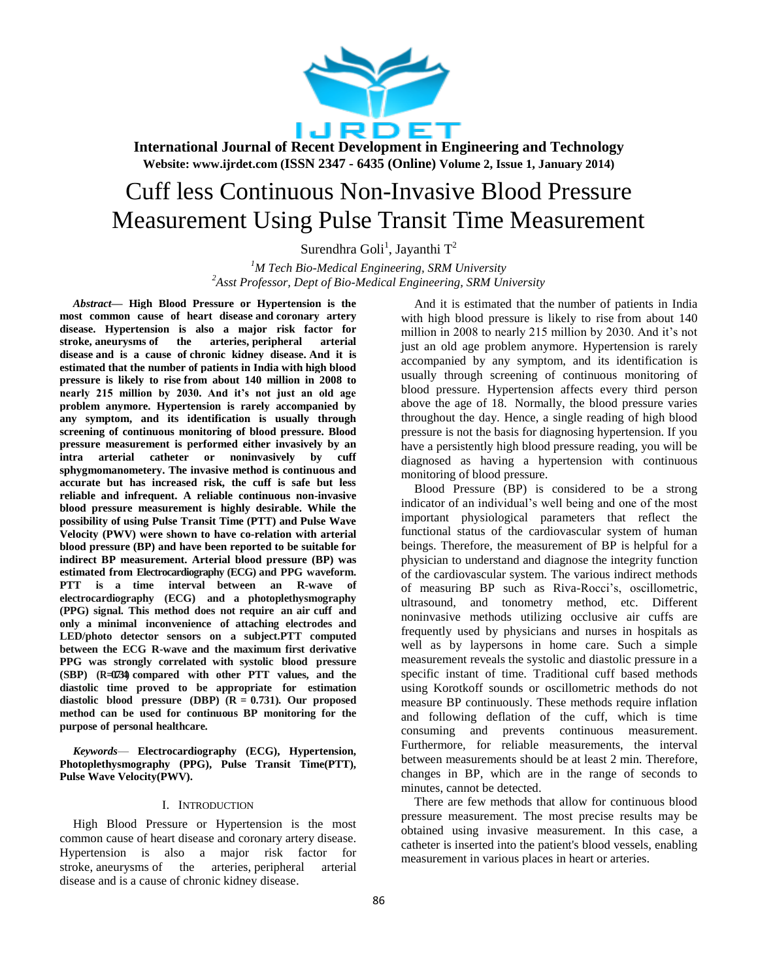

# Cuff less Continuous Non-Invasive Blood Pressure Measurement Using Pulse Transit Time Measurement

Surendhra Goli<sup>1</sup>, Jayanthi T<sup>2</sup>

*<sup>1</sup>M Tech Bio-Medical Engineering, SRM University <sup>2</sup>Asst Professor, Dept of Bio-Medical Engineering, SRM University*

*Abstract***— High Blood Pressure or Hypertension is the most common cause of heart disease and coronary artery disease. Hypertension is also a major risk factor for stroke, aneurysms of the arteries, peripheral arterial disease and is a cause of chronic kidney disease. And it is estimated that the number of patients in India with high blood pressure is likely to rise from about 140 million in 2008 to nearly 215 million by 2030. And it's not just an old age problem anymore. Hypertension is rarely accompanied by any symptom, and its identification is usually through screening of continuous monitoring of blood pressure. Blood pressure measurement is performed either invasively by an intra arterial catheter or noninvasively by cuff sphygmomanometery. The invasive method is continuous and accurate but has increased risk, the cuff is safe but less reliable and infrequent. A reliable continuous non-invasive blood pressure measurement is highly desirable. While the possibility of using Pulse Transit Time (PTT) and Pulse Wave Velocity (PWV) were shown to have co-relation with arterial blood pressure (BP) and have been reported to be suitable for indirect BP measurement. Arterial blood pressure (BP) was estimated from Electrocardiography (ECG) and PPG waveform. PTT is a time interval between an R-wave of electrocardiography (ECG) and a photoplethysmography (PPG) signal. This method does not require an air cuff and only a minimal inconvenience of attaching electrodes and LED/photo detector sensors on a subject.PTT computed between the ECG R-wave and the maximum first derivative PPG was strongly correlated with systolic blood pressure (SBP) (R=0.734) compared with other PTT values, and the diastolic time proved to be appropriate for estimation diastolic blood pressure (DBP) (R = 0.731). Our proposed method can be used for continuous BP monitoring for the purpose of personal healthcare.**

*Keywords*— **Electrocardiography (ECG), Hypertension, Photoplethysmography (PPG), Pulse Transit Time(PTT), Pulse Wave Velocity(PWV).**

### I. INTRODUCTION

High Blood Pressure or Hypertension is the most common cause of heart disease and coronary artery disease. Hypertension is also a major risk factor for stroke, aneurysms of the arteries, peripheral arterial disease and is a cause of chronic kidney disease.

And it is estimated that the number of patients in India with high blood pressure is likely to rise from about 140 million in 2008 to nearly 215 million by 2030. And it's not just an old age problem anymore. Hypertension is rarely accompanied by any symptom, and its identification is usually through screening of continuous monitoring of blood pressure. Hypertension affects every third person above the age of 18. Normally, the blood pressure varies throughout the day. Hence, a single reading of high blood pressure is not the basis for diagnosing hypertension. If you have a persistently high blood pressure reading, you will be diagnosed as having a hypertension with continuous monitoring of blood pressure.

Blood Pressure (BP) is considered to be a strong indicator of an individual's well being and one of the most important physiological parameters that reflect the functional status of the cardiovascular system of human beings. Therefore, the measurement of BP is helpful for a physician to understand and diagnose the integrity function of the cardiovascular system. The various indirect methods of measuring BP such as Riva-Rocci's, oscillometric, ultrasound, and tonometry method, etc. Different noninvasive methods utilizing occlusive air cuffs are frequently used by physicians and nurses in hospitals as well as by laypersons in home care. Such a simple measurement reveals the systolic and diastolic pressure in a specific instant of time. Traditional cuff based methods using Korotkoff sounds or oscillometric methods do not measure BP continuously. These methods require inflation and following deflation of the cuff, which is time consuming and prevents continuous measurement. Furthermore, for reliable measurements, the interval between measurements should be at least 2 min. Therefore, changes in BP, which are in the range of seconds to minutes, cannot be detected.

There are few methods that allow for continuous blood pressure measurement. The most precise results may be obtained using invasive measurement. In this case, a catheter is inserted into the patient's blood vessels, enabling measurement in various places in heart or arteries.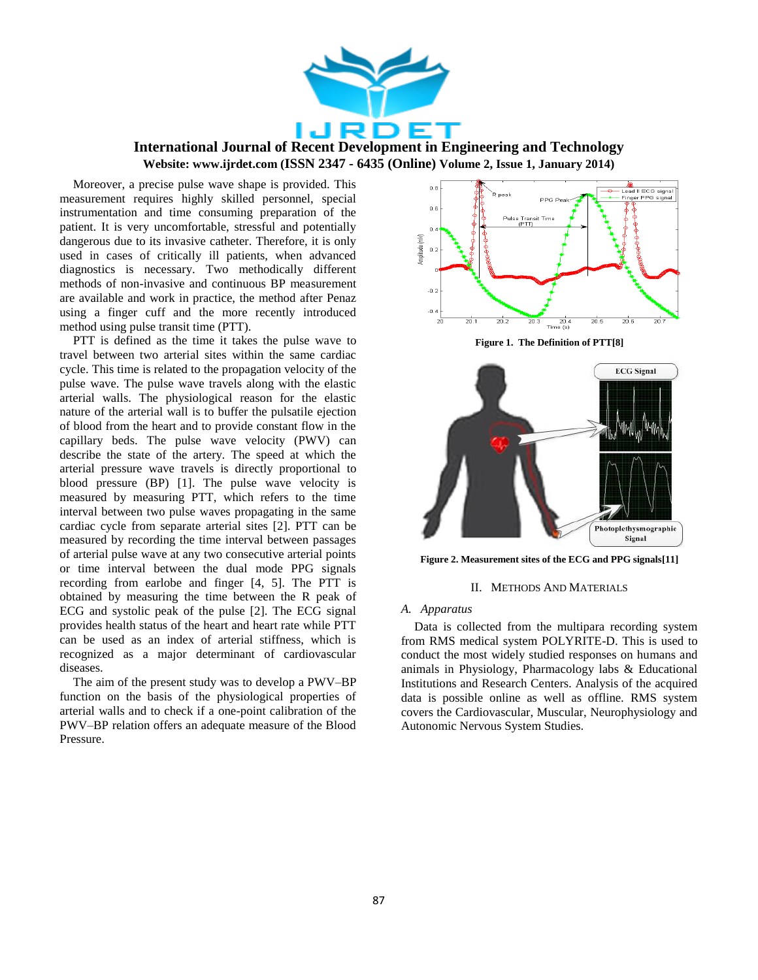

Moreover, a precise pulse wave shape is provided. This measurement requires highly skilled personnel, special instrumentation and time consuming preparation of the patient. It is very uncomfortable, stressful and potentially dangerous due to its invasive catheter. Therefore, it is only used in cases of critically ill patients, when advanced diagnostics is necessary. Two methodically different methods of non-invasive and continuous BP measurement are available and work in practice, the method after Penaz using a finger cuff and the more recently introduced method using pulse transit time (PTT).

PTT is defined as the time it takes the pulse wave to travel between two arterial sites within the same cardiac cycle. This time is related to the propagation velocity of the pulse wave. The pulse wave travels along with the elastic arterial walls. The physiological reason for the elastic nature of the arterial wall is to buffer the pulsatile ejection of blood from the heart and to provide constant flow in the capillary beds. The pulse wave velocity (PWV) can describe the state of the artery. The speed at which the arterial pressure wave travels is directly proportional to blood pressure (BP) [1]. The pulse wave velocity is measured by measuring PTT, which refers to the time interval between two pulse waves propagating in the same cardiac cycle from separate arterial sites [2]. PTT can be measured by recording the time interval between passages of arterial pulse wave at any two consecutive arterial points or time interval between the dual mode PPG signals recording from earlobe and finger [4, 5]. The PTT is obtained by measuring the time between the R peak of ECG and systolic peak of the pulse [2]. The ECG signal provides health status of the heart and heart rate while PTT can be used as an index of arterial stiffness, which is recognized as a major determinant of cardiovascular diseases.

The aim of the present study was to develop a PWV–BP function on the basis of the physiological properties of arterial walls and to check if a one-point calibration of the PWV–BP relation offers an adequate measure of the Blood Pressure.



**Figure 1. The Definition of PTT[8]**



**Figure 2. Measurement sites of the ECG and PPG signals[11]**

#### II. METHODS AND MATERIALS

#### *A. Apparatus*

Data is collected from the multipara recording system from RMS medical system POLYRITE-D. This is used to conduct the most widely studied responses on humans and animals in Physiology, Pharmacology labs & Educational Institutions and Research Centers. Analysis of the acquired data is possible online as well as offline. RMS system covers the Cardiovascular, Muscular, Neurophysiology and Autonomic Nervous System Studies.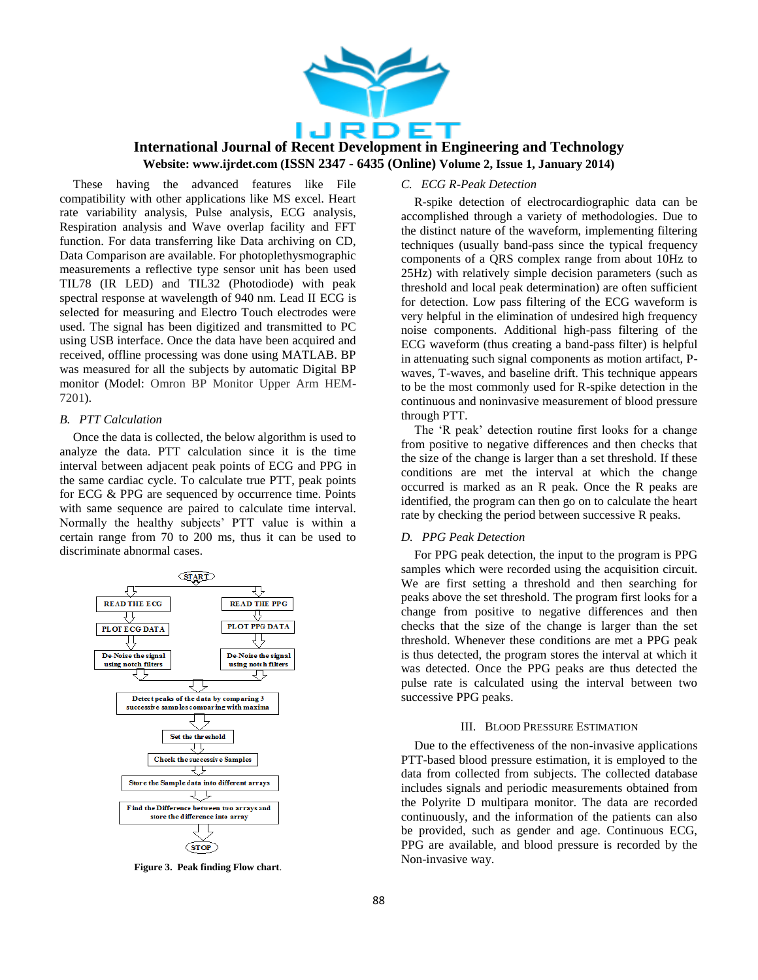

These having the advanced features like File compatibility with other applications like MS excel. Heart rate variability analysis, Pulse analysis, ECG analysis, Respiration analysis and Wave overlap facility and FFT function. For data transferring like Data archiving on CD, Data Comparison are available. For photoplethysmographic measurements a reflective type sensor unit has been used TIL78 (IR LED) and TIL32 (Photodiode) with peak spectral response at wavelength of 940 nm. Lead II ECG is selected for measuring and Electro Touch electrodes were used. The signal has been digitized and transmitted to PC using USB interface. Once the data have been acquired and received, offline processing was done using MATLAB. BP was measured for all the subjects by automatic Digital BP monitor (Model: Omron BP Monitor Upper Arm HEM-7201).

#### *B. PTT Calculation*

Once the data is collected, the below algorithm is used to analyze the data. PTT calculation since it is the time interval between adjacent peak points of ECG and PPG in the same cardiac cycle. To calculate true PTT, peak points for ECG & PPG are sequenced by occurrence time. Points with same sequence are paired to calculate time interval. Normally the healthy subjects' PTT value is within a certain range from 70 to 200 ms, thus it can be used to discriminate abnormal cases.



**Figure 3. Peak finding Flow chart**.

## *C. ECG R-Peak Detection*

R-spike detection of electrocardiographic data can be accomplished through a variety of methodologies. Due to the distinct nature of the waveform, implementing filtering techniques (usually band-pass since the typical frequency components of a QRS complex range from about 10Hz to 25Hz) with relatively simple decision parameters (such as threshold and local peak determination) are often sufficient for detection. Low pass filtering of the ECG waveform is very helpful in the elimination of undesired high frequency noise components. Additional high-pass filtering of the ECG waveform (thus creating a band-pass filter) is helpful in attenuating such signal components as motion artifact, Pwaves, T-waves, and baseline drift. This technique appears to be the most commonly used for R-spike detection in the continuous and noninvasive measurement of blood pressure through PTT.

The 'R peak' detection routine first looks for a change from positive to negative differences and then checks that the size of the change is larger than a set threshold. If these conditions are met the interval at which the change occurred is marked as an R peak. Once the R peaks are identified, the program can then go on to calculate the heart rate by checking the period between successive R peaks.

#### *D. PPG Peak Detection*

For PPG peak detection, the input to the program is PPG samples which were recorded using the acquisition circuit. We are first setting a threshold and then searching for peaks above the set threshold. The program first looks for a change from positive to negative differences and then checks that the size of the change is larger than the set threshold. Whenever these conditions are met a PPG peak is thus detected, the program stores the interval at which it was detected. Once the PPG peaks are thus detected the pulse rate is calculated using the interval between two successive PPG peaks.

#### III. BLOOD PRESSURE ESTIMATION

Due to the effectiveness of the non-invasive applications PTT-based blood pressure estimation, it is employed to the data from collected from subjects. The collected database includes signals and periodic measurements obtained from the Polyrite D multipara monitor. The data are recorded continuously, and the information of the patients can also be provided, such as gender and age. Continuous ECG, PPG are available, and blood pressure is recorded by the Non-invasive way.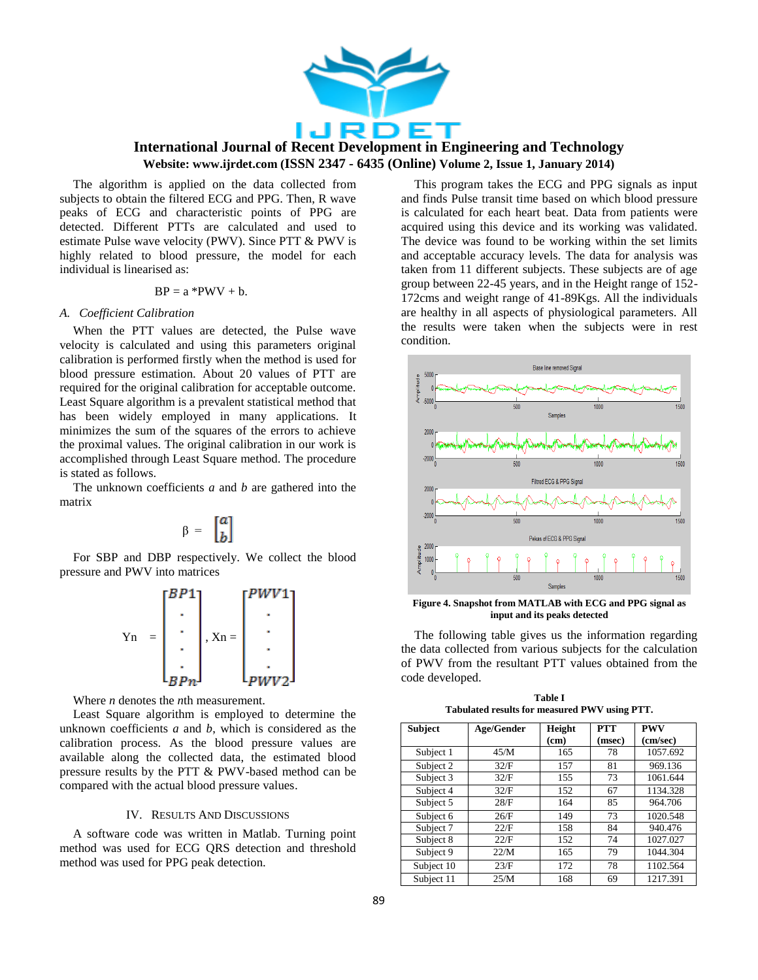

The algorithm is applied on the data collected from subjects to obtain the filtered ECG and PPG. Then, R wave peaks of ECG and characteristic points of PPG are detected. Different PTTs are calculated and used to estimate Pulse wave velocity (PWV). Since PTT & PWV is highly related to blood pressure, the model for each individual is linearised as:

$$
BP = a *PWV + b.
$$

#### *A. Coefficient Calibration*

When the PTT values are detected, the Pulse wave velocity is calculated and using this parameters original calibration is performed firstly when the method is used for blood pressure estimation. About 20 values of PTT are required for the original calibration for acceptable outcome. Least Square algorithm is a prevalent statistical method that has been widely employed in many applications. It minimizes the sum of the squares of the errors to achieve the proximal values. The original calibration in our work is accomplished through Least Square method. The procedure is stated as follows.

The unknown coefficients *a* and *b* are gathered into the matrix

$$
\beta = \begin{bmatrix} a \\ b \end{bmatrix}
$$

For SBP and DBP respectively. We collect the blood pressure and PWV into matrices



Where *n* denotes the *n*th measurement.

Least Square algorithm is employed to determine the unknown coefficients *a* and *b*, which is considered as the calibration process. As the blood pressure values are available along the collected data, the estimated blood pressure results by the PTT & PWV-based method can be compared with the actual blood pressure values.

#### IV. RESULTS AND DISCUSSIONS

A software code was written in Matlab. Turning point method was used for ECG QRS detection and threshold method was used for PPG peak detection.

This program takes the ECG and PPG signals as input and finds Pulse transit time based on which blood pressure is calculated for each heart beat. Data from patients were acquired using this device and its working was validated. The device was found to be working within the set limits and acceptable accuracy levels. The data for analysis was taken from 11 different subjects. These subjects are of age group between 22-45 years, and in the Height range of 152- 172cms and weight range of 41-89Kgs. All the individuals are healthy in all aspects of physiological parameters. All the results were taken when the subjects were in rest condition.



**Figure 4. Snapshot from MATLAB with ECG and PPG signal as input and its peaks detected**

The following table gives us the information regarding the data collected from various subjects for the calculation of PWV from the resultant PTT values obtained from the code developed.

| <b>Table I</b>                                |
|-----------------------------------------------|
| Tabulated results for measured PWV using PTT. |
|                                               |

| <b>Subject</b> | Age/Gender | Height | <b>PTT</b> | <b>PWV</b> |
|----------------|------------|--------|------------|------------|
|                |            | (cm)   | (msec)     | (cm/sec)   |
| Subject 1      | 45/M       | 165    | 78         | 1057.692   |
| Subject 2      | 32/F       | 157    | 81         | 969.136    |
| Subject 3      | 32/F       | 155    | 73         | 1061.644   |
| Subject 4      | 32/F       | 152    | 67         | 1134.328   |
| Subject 5      | 28/F       | 164    | 85         | 964.706    |
| Subject 6      | 26/F       | 149    | 73         | 1020.548   |
| Subject 7      | 22/F       | 158    | 84         | 940.476    |
| Subject 8      | 22/F       | 152    | 74         | 1027.027   |
| Subject 9      | 22/M       | 165    | 79         | 1044.304   |
| Subject 10     | 23/F       | 172    | 78         | 1102.564   |
| Subject 11     | 25/M       | 168    | 69         | 1217.391   |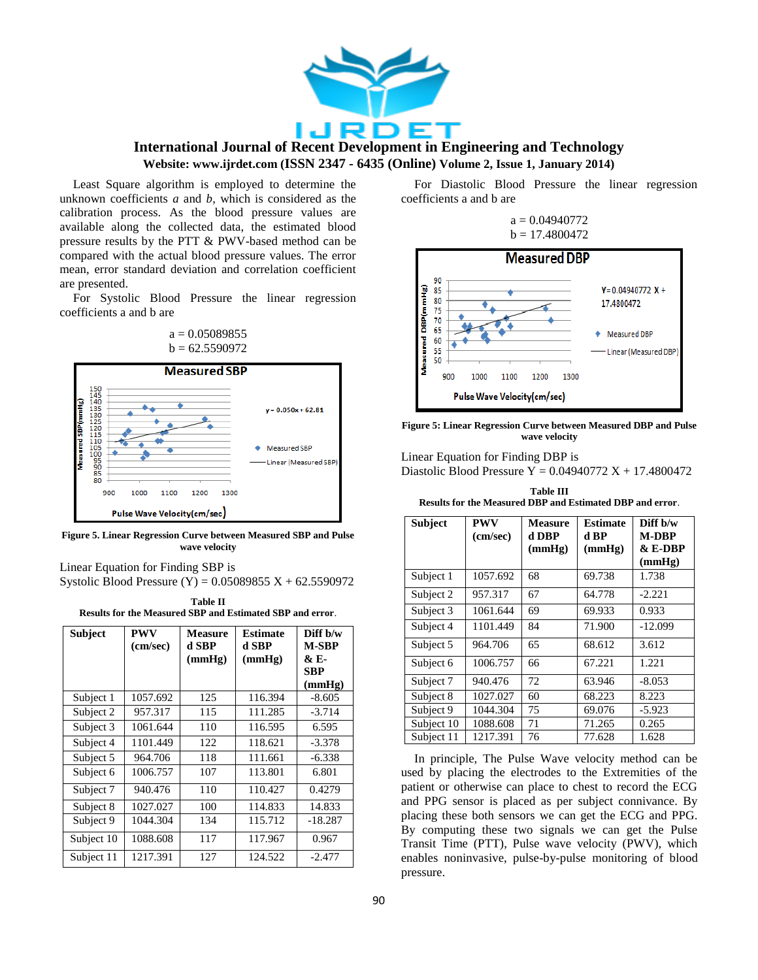

Least Square algorithm is employed to determine the unknown coefficients *a* and *b*, which is considered as the calibration process. As the blood pressure values are available along the collected data, the estimated blood pressure results by the PTT & PWV-based method can be compared with the actual blood pressure values. The error mean, error standard deviation and correlation coefficient are presented.

For Systolic Blood Pressure the linear regression coefficients a and b are





**Figure 5. Linear Regression Curve between Measured SBP and Pulse wave velocity**

Linear Equation for Finding SBP is Systolic Blood Pressure  $(Y) = 0.05089855 X + 62.5590972$ 

**Table II Results for the Measured SBP and Estimated SBP and error**.

| <b>Subject</b> | <b>PWV</b><br>(cm/sec) | <b>Measure</b><br>d SBP | <b>Estimate</b><br>d SBP | Diff b/w<br>M-SBP            |
|----------------|------------------------|-------------------------|--------------------------|------------------------------|
|                |                        | (mmHg)                  | (mmHg)                   | & E-<br><b>SBP</b><br>(mmHg) |
| Subject 1      | 1057.692               | 125                     | 116.394                  | $-8.605$                     |
| Subject 2      | 957.317                | 115                     | 111.285                  | $-3.714$                     |
| Subject 3      | 1061.644               | 110                     | 116.595                  | 6.595                        |
| Subject 4      | 1101.449               | 122                     | 118.621                  | $-3.378$                     |
| Subject 5      | 964.706                | 118                     | 111.661                  | $-6.338$                     |
| Subject 6      | 1006.757               | 107                     | 113.801                  | 6.801                        |
| Subject 7      | 940.476                | 110                     | 110.427                  | 0.4279                       |
| Subject 8      | 1027.027               | 100                     | 114.833                  | 14.833                       |
| Subject 9      | 1044.304               | 134                     | 115.712                  | $-18.287$                    |
| Subject 10     | 1088.608               | 117                     | 117.967                  | 0.967                        |
| Subject 11     | 1217.391               | 127                     | 124.522                  | $-2.477$                     |

For Diastolic Blood Pressure the linear regression coefficients a and b are

## $a = 0.04940772$  $b = 17.4800472$



**Figure 5: Linear Regression Curve between Measured DBP and Pulse wave velocity**

Linear Equation for Finding DBP is Diastolic Blood Pressure  $Y = 0.04940772 X + 17.4800472$ 

| <b>Table III</b>                                          |  |  |  |  |
|-----------------------------------------------------------|--|--|--|--|
| Results for the Measured DBP and Estimated DBP and error. |  |  |  |  |

| <b>Subject</b> | PWV<br>(cm/sec) | <b>Measure</b><br>d DBP<br>(mmHg) | <b>Estimate</b><br>d BP<br>(mmHg) | Diff b/w<br><b>M-DBP</b><br>$&E-DBP$<br>(mmHg) |
|----------------|-----------------|-----------------------------------|-----------------------------------|------------------------------------------------|
| Subject 1      | 1057.692        | 68                                | 69.738                            | 1.738                                          |
| Subject 2      | 957.317         | 67                                | 64.778                            | $-2.221$                                       |
| Subject 3      | 1061.644        | 69                                | 69.933                            | 0.933                                          |
| Subject 4      | 1101.449        | 84                                | 71.900                            | $-12.099$                                      |
| Subject 5      | 964.706         | 65                                | 68.612                            | 3.612                                          |
| Subject 6      | 1006.757        | 66                                | 67.221                            | 1.221                                          |
| Subject 7      | 940.476         | 72                                | 63.946                            | $-8.053$                                       |
| Subject 8      | 1027.027        | 60                                | 68.223                            | 8.223                                          |
| Subject 9      | 1044.304        | 75                                | 69.076                            | $-5.923$                                       |
| Subject 10     | 1088.608        | 71                                | 71.265                            | 0.265                                          |
| Subject 11     | 1217.391        | 76                                | 77.628                            | 1.628                                          |

In principle, The Pulse Wave velocity method can be used by placing the electrodes to the Extremities of the patient or otherwise can place to chest to record the ECG and PPG sensor is placed as per subject connivance. By placing these both sensors we can get the ECG and PPG. By computing these two signals we can get the Pulse Transit Time (PTT), Pulse wave velocity (PWV), which enables noninvasive, pulse-by-pulse monitoring of blood pressure.